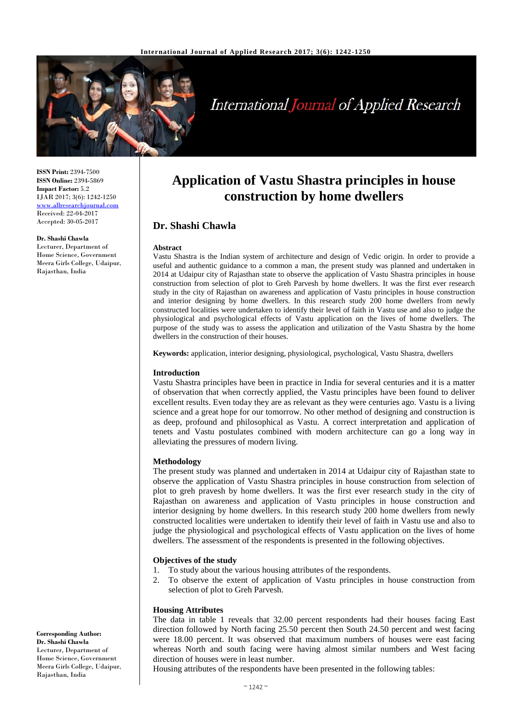

**ISSN Print:** 2394-7500 **ISSN Online:** 2394-5869 **Impact Factor:** 5.2 IJAR 2017; 3(6): 1242-1250 [www.allresearchjournal.com](http://www.allresearchjournal.com/)  Received: 22-04-2017 Accepted: 30-05-2017

#### **Dr. Shashi Chawla**

Lecturer, Department of Home Science, Government Meera Girls College, Udaipur, Rajasthan, India

# **Application of Vastu Shastra principles in house construction by home dwellers**

# **Dr. Shashi Chawla**

#### **Abstract**

Vastu Shastra is the Indian system of architecture and design of Vedic origin. In order to provide a useful and authentic guidance to a common a man, the present study was planned and undertaken in 2014 at Udaipur city of Rajasthan state to observe the application of Vastu Shastra principles in house construction from selection of plot to Greh Parvesh by home dwellers. It was the first ever research study in the city of Rajasthan on awareness and application of Vastu principles in house construction and interior designing by home dwellers. In this research study 200 home dwellers from newly constructed localities were undertaken to identify their level of faith in Vastu use and also to judge the physiological and psychological effects of Vastu application on the lives of home dwellers. The purpose of the study was to assess the application and utilization of the Vastu Shastra by the home dwellers in the construction of their houses.

**Keywords:** application, interior designing, physiological, psychological, Vastu Shastra, dwellers

#### **Introduction**

Vastu Shastra principles have been in practice in India for several centuries and it is a matter of observation that when correctly applied, the Vastu principles have been found to deliver excellent results. Even today they are as relevant as they were centuries ago. Vastu is a living science and a great hope for our tomorrow. No other method of designing and construction is as deep, profound and philosophical as Vastu. A correct interpretation and application of tenets and Vastu postulates combined with modern architecture can go a long way in alleviating the pressures of modern living.

#### **Methodology**

The present study was planned and undertaken in 2014 at Udaipur city of Rajasthan state to observe the application of Vastu Shastra principles in house construction from selection of plot to greh pravesh by home dwellers. It was the first ever research study in the city of Rajasthan on awareness and application of Vastu principles in house construction and interior designing by home dwellers. In this research study 200 home dwellers from newly constructed localities were undertaken to identify their level of faith in Vastu use and also to judge the physiological and psychological effects of Vastu application on the lives of home dwellers. The assessment of the respondents is presented in the following objectives.

#### **Objectives of the study**

- 1. To study about the various housing attributes of the respondents.
- 2. To observe the extent of application of Vastu principles in house construction from selection of plot to Greh Parvesh.

#### **Housing Attributes**

The data in table 1 reveals that 32.00 percent respondents had their houses facing East direction followed by North facing 25.50 percent then South 24.50 percent and west facing were 18.00 percent. It was observed that maximum numbers of houses were east facing whereas North and south facing were having almost similar numbers and West facing direction of houses were in least number.

Housing attributes of the respondents have been presented in the following tables:

**Corresponding Author: Dr. Shashi Chawla**  Lecturer, Department of Home Science, Government Meera Girls College, Udaipur, Rajasthan, India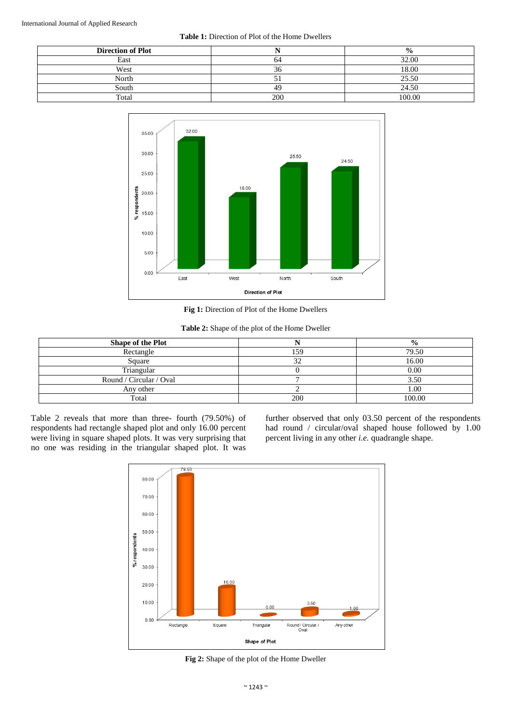#### **Table 1:** Direction of Plot of the Home Dwellers

| <b>Direction of Plot</b> |                | $\frac{6}{6}$ |
|--------------------------|----------------|---------------|
| East                     |                | 32.00         |
| West                     | $\sim$         | 18.00         |
| North                    |                | 25.50         |
| South                    | 4 <sup>c</sup> | 24.50         |
| Total                    | 200            | 100.00        |



**Fig 1:** Direction of Plot of the Home Dwellers

**Table 2:** Shape of the plot of the Home Dweller

| <b>Shape of the Plot</b> |     | $\frac{0}{0}$ |
|--------------------------|-----|---------------|
| Rectangle                | 159 | 79.50         |
| Square                   | 32  | 16.00         |
| Triangular               |     | 0.00          |
| Round / Circular / Oval  |     | 3.50          |
| Any other                |     | 1.00          |
| Total                    | 200 | 100.00        |

Table 2 reveals that more than three- fourth (79.50%) of respondents had rectangle shaped plot and only 16.00 percent were living in square shaped plots. It was very surprising that no one was residing in the triangular shaped plot. It was

further observed that only 03.50 percent of the respondents had round / circular/oval shaped house followed by 1.00 percent living in any other *i.e.* quadrangle shape.



**Fig 2:** Shape of the plot of the Home Dweller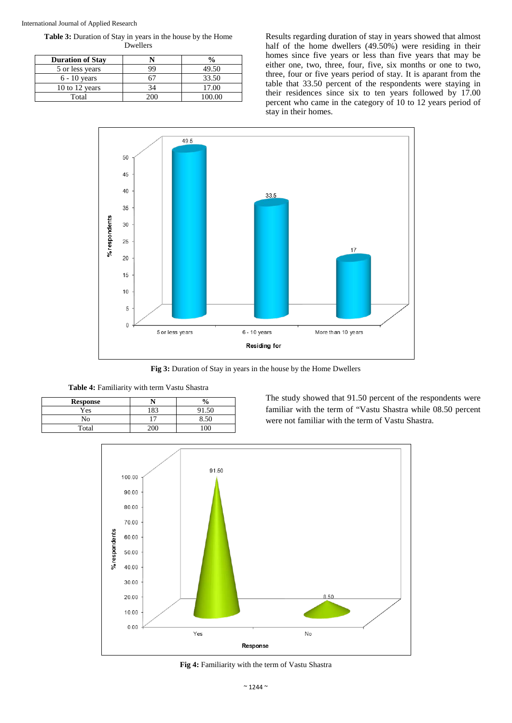**Table 3:** Duration of Stay in years in the house by the Home Dwellers

| <b>Duration of Stay</b> |    |       |
|-------------------------|----|-------|
| 5 or less years         | 99 | 49.50 |
| $6 - 10$ years          |    | 33.50 |
| 10 to 12 years          |    | 17.00 |
| Total                   |    |       |

Results regarding duration of stay in years showed that almost half of the home dwellers (49.50%) were residing in their homes since five years or less than five years that may be either one, two, three, four, five, six months or one to two, three, four or five years period of stay. It is aparant from the table that 33.50 percent of the respondents were staying in their residences since six to ten years followed by 17.00 percent who came in the category of 10 to 12 years period of stay in their homes.



**Fig 3:** Duration of Stay in years in the house by the Home Dwellers

| Table 4: Familiarity with term Vastu Shastra |     |               |  |  |
|----------------------------------------------|-----|---------------|--|--|
| <b>Response</b>                              |     | $\frac{0}{0}$ |  |  |
| Yes                                          | 183 | 91.50         |  |  |
| Nο                                           |     | 8.50          |  |  |

Total 200 100

The study showed that 91.50 percent of the respondents were familiar with the term of "Vastu Shastra while 08.50 percent were not familiar with the term of Vastu Shastra.



**Fig 4:** Familiarity with the term of Vastu Shastra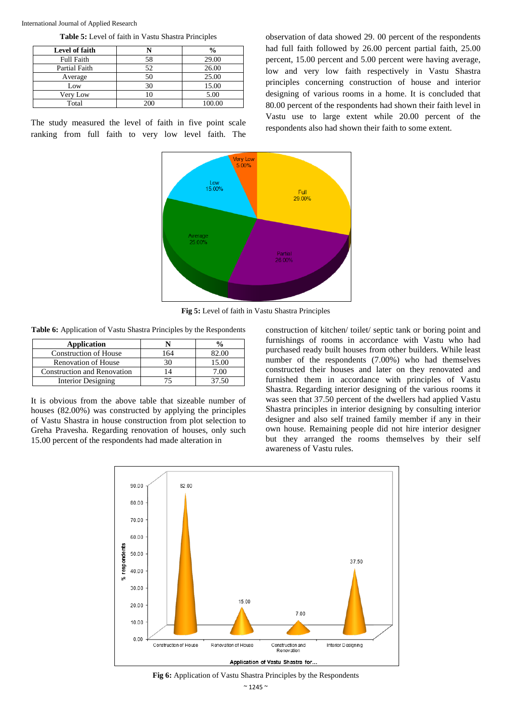| Level of faith    |     | $\frac{6}{9}$ |
|-------------------|-----|---------------|
| <b>Full Faith</b> | 58  | 29.00         |
| Partial Faith     | 52  | 26.00         |
| Average           | 50  | 25.00         |
| Low               | 30  | 15.00         |
| Very Low          | 10  | 5.00          |
| Total             | 200 | 100.00        |

The study measured the level of faith in five point scale ranking from full faith to very low level faith. The observation of data showed 29. 00 percent of the respondents had full faith followed by 26.00 percent partial faith, 25.00 percent, 15.00 percent and 5.00 percent were having average, low and very low faith respectively in Vastu Shastra principles concerning construction of house and interior designing of various rooms in a home. It is concluded that 80.00 percent of the respondents had shown their faith level in Vastu use to large extent while 20.00 percent of the respondents also had shown their faith to some extent.



**Fig 5:** Level of faith in Vastu Shastra Principles

**Table 6:** Application of Vastu Shastra Principles by the Respondents

| Application                        |     |       |
|------------------------------------|-----|-------|
| <b>Construction of House</b>       | .64 |       |
| <b>Renovation of House</b>         | 30  | 15.00 |
| <b>Construction and Renovation</b> |     |       |
| <b>Interior Designing</b>          |     | 37.50 |

It is obvious from the above table that sizeable number of houses (82.00%) was constructed by applying the principles of Vastu Shastra in house construction from plot selection to Greha Pravesha. Regarding renovation of houses, only such 15.00 percent of the respondents had made alteration in

construction of kitchen/ toilet/ septic tank or boring point and furnishings of rooms in accordance with Vastu who had purchased ready built houses from other builders. While least number of the respondents (7.00%) who had themselves constructed their houses and later on they renovated and furnished them in accordance with principles of Vastu Shastra. Regarding interior designing of the various rooms it was seen that 37.50 percent of the dwellers had applied Vastu Shastra principles in interior designing by consulting interior designer and also self trained family member if any in their own house. Remaining people did not hire interior designer but they arranged the rooms themselves by their self awareness of Vastu rules.



**Fig 6:** Application of Vastu Shastra Principles by the Respondents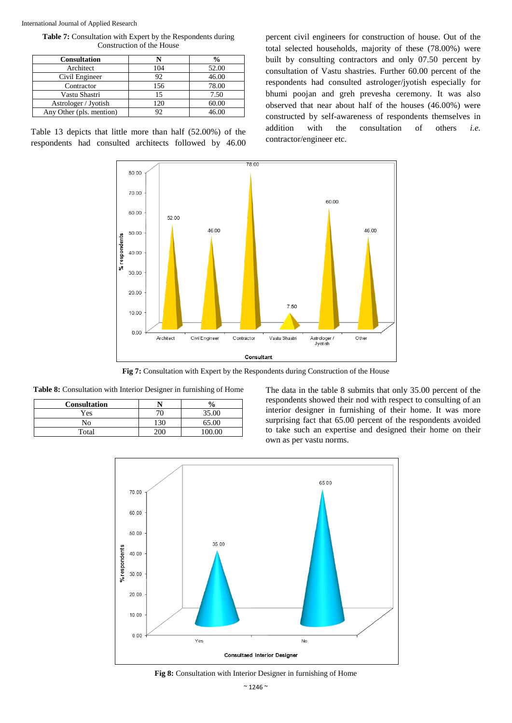**Table 7:** Consultation with Expert by the Respondents during Construction of the House

| <b>Consultation</b>      |     | $\frac{0}{0}$ |
|--------------------------|-----|---------------|
| Architect                | 104 | 52.00         |
| Civil Engineer           | 92  | 46.00         |
| Contractor               | 156 | 78.00         |
| Vastu Shastri            |     | 7.50          |
| Astrologer / Jyotish     | 120 | 60.00         |
| Any Other (pls. mention) |     | 46.00         |

Table 13 depicts that little more than half (52.00%) of the respondents had consulted architects followed by 46.00 percent civil engineers for construction of house. Out of the total selected households, majority of these (78.00%) were built by consulting contractors and only 07.50 percent by consultation of Vastu shastries. Further 60.00 percent of the respondents had consulted astrologer/jyotish especially for bhumi poojan and greh prevesha ceremony. It was also observed that near about half of the houses (46.00%) were constructed by self-awareness of respondents themselves in addition with the consultation of others *i.e.* contractor/engineer etc.



**Fig 7:** Consultation with Expert by the Respondents during Construction of the House

| Table 8: Consultation with Interior Designer in furnishing of Home |  |  |  |
|--------------------------------------------------------------------|--|--|--|
|                                                                    |  |  |  |

| <b>Consultation</b> |     | $\frac{1}{2}$ |
|---------------------|-----|---------------|
| Yes                 |     | 35.00         |
| No                  | 130 | 65.00         |
| Total               |     |               |

The data in the table 8 submits that only 35.00 percent of the respondents showed their nod with respect to consulting of an interior designer in furnishing of their home. It was more surprising fact that 65.00 percent of the respondents avoided to take such an expertise and designed their home on their own as per vastu norms.



**Fig 8:** Consultation with Interior Designer in furnishing of Home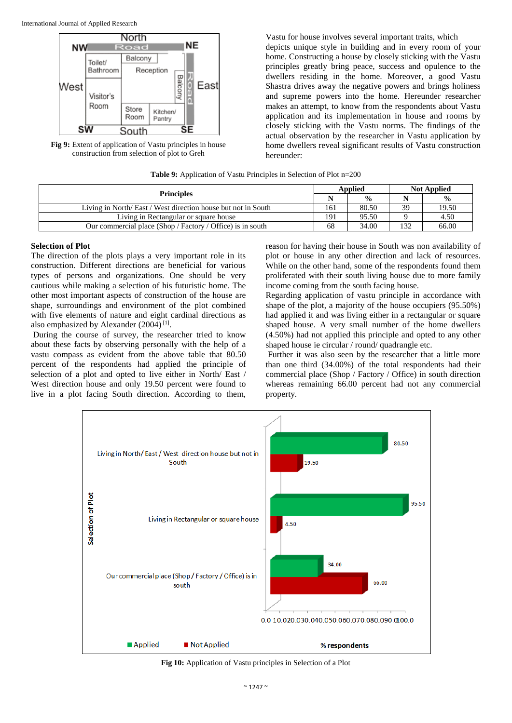

**Fig 9:** Extent of application of Vastu principles in house construction from selection of plot to Greh

Vastu for house involves several important traits, which depicts unique style in building and in every room of your home. Constructing a house by closely sticking with the Vastu principles greatly bring peace, success and opulence to the dwellers residing in the home. Moreover, a good Vastu Shastra drives away the negative powers and brings holiness and supreme powers into the home. Hereunder researcher makes an attempt, to know from the respondents about Vastu application and its implementation in house and rooms by closely sticking with the Vastu norms. The findings of the actual observation by the researcher in Vastu application by home dwellers reveal significant results of Vastu construction hereunder:

|  |  | Table 9: Application of Vastu Principles in Selection of Plot n=200 |
|--|--|---------------------------------------------------------------------|
|  |  |                                                                     |

| <b>Principles</b>                                            |  | <b>Applied</b> | <b>Not Applied</b> |               |
|--------------------------------------------------------------|--|----------------|--------------------|---------------|
|                                                              |  | $\frac{0}{0}$  |                    | $\frac{6}{9}$ |
| Living in North/East / West direction house but not in South |  | 80.50          | 39                 | 19.50         |
| Living in Rectangular or square house                        |  | 95.50          |                    | 4.50          |
| Our commercial place (Shop / Factory / Office) is in south   |  | 34.00          | 132                | 66.00         |

#### **Selection of Plot**

The direction of the plots plays a very important role in its construction. Different directions are beneficial for various types of persons and organizations. One should be very cautious while making a selection of his futuristic home. The other most important aspects of construction of the house are shape, surroundings and environment of the plot combined with five elements of nature and eight cardinal directions as also emphasized by Alexander (2004) [1].

During the course of survey, the researcher tried to know about these facts by observing personally with the help of a vastu compass as evident from the above table that 80.50 percent of the respondents had applied the principle of selection of a plot and opted to live either in North/ East / West direction house and only 19.50 percent were found to live in a plot facing South direction. According to them,

reason for having their house in South was non availability of plot or house in any other direction and lack of resources. While on the other hand, some of the respondents found them proliferated with their south living house due to more family income coming from the south facing house.

Regarding application of vastu principle in accordance with shape of the plot, a majority of the house occupiers (95.50%) had applied it and was living either in a rectangular or square shaped house. A very small number of the home dwellers (4.50%) had not applied this principle and opted to any other shaped house ie circular / round/ quadrangle etc.

Further it was also seen by the researcher that a little more than one third (34.00%) of the total respondents had their commercial place (Shop / Factory / Office) in south direction whereas remaining 66.00 percent had not any commercial property.



**Fig 10:** Application of Vastu principles in Selection of a Plot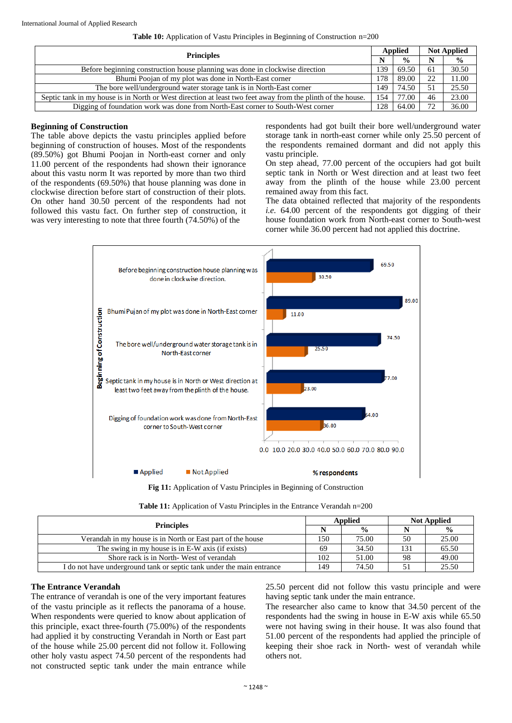| Table 10: Application of Vastu Principles in Beginning of Construction n=200 |  |  |  |  |  |
|------------------------------------------------------------------------------|--|--|--|--|--|
|------------------------------------------------------------------------------|--|--|--|--|--|

| <b>Principles</b>                                                                                          |     | <b>Applied</b> |     | <b>Not Applied</b> |  |
|------------------------------------------------------------------------------------------------------------|-----|----------------|-----|--------------------|--|
|                                                                                                            |     | $\frac{0}{0}$  |     | $\frac{6}{6}$      |  |
| Before beginning construction house planning was done in clockwise direction                               | 139 | 69.50          | -61 | 30.50              |  |
| Bhumi Poojan of my plot was done in North-East corner                                                      | 178 | 89.00          |     | 11.00              |  |
| The bore well/underground water storage tank is in North-East corner                                       | 149 | 74.50          |     | 25.50              |  |
| Septic tank in my house is in North or West direction at least two feet away from the plinth of the house. | 154 | 77.00          | 46  | 23.00              |  |
| Digging of foundation work was done from North-East corner to South-West corner                            | 128 | 64.00          |     | 36.00              |  |

## **Beginning of Construction**

The table above depicts the vastu principles applied before beginning of construction of houses. Most of the respondents (89.50%) got Bhumi Poojan in North-east corner and only 11.00 percent of the respondents had shown their ignorance about this vastu norm It was reported by more than two third of the respondents (69.50%) that house planning was done in clockwise direction before start of construction of their plots. On other hand 30.50 percent of the respondents had not followed this vastu fact. On further step of construction, it was very interesting to note that three fourth (74.50%) of the

respondents had got built their bore well/underground water storage tank in north-east corner while only 25.50 percent of the respondents remained dormant and did not apply this vastu principle.

On step ahead, 77.00 percent of the occupiers had got built septic tank in North or West direction and at least two feet away from the plinth of the house while 23.00 percent remained away from this fact.

The data obtained reflected that majority of the respondents *i.e.* 64.00 percent of the respondents got digging of their house foundation work from North-east corner to South-west corner while 36.00 percent had not applied this doctrine.



**Fig 11:** Application of Vastu Principles in Beginning of Construction

**Table 11:** Application of Vastu Principles in the Entrance Verandah n=200

| <b>Principles</b>                                                     |     | <b>Applied</b> |    | <b>Not Applied</b> |  |
|-----------------------------------------------------------------------|-----|----------------|----|--------------------|--|
|                                                                       |     | $\frac{0}{0}$  |    | $\frac{6}{9}$      |  |
| Verandah in my house is in North or East part of the house            | 150 | 75.00          | 50 | 25.00              |  |
| The swing in my house is in E-W axis (if exists)                      | 69  | 34.50          |    | 65.50              |  |
| Shore rack is in North-West of verandah                               | 102 | 51.00          | 98 | 49.00              |  |
| I do not have underground tank or septic tank under the main entrance | 49  | 74.50          |    | 25.50              |  |

## **The Entrance Verandah**

The entrance of verandah is one of the very important features of the vastu principle as it reflects the panorama of a house. When respondents were queried to know about application of this principle, exact three-fourth (75.00%) of the respondents had applied it by constructing Verandah in North or East part of the house while 25.00 percent did not follow it. Following other holy vastu aspect 74.50 percent of the respondents had not constructed septic tank under the main entrance while

25.50 percent did not follow this vastu principle and were having septic tank under the main entrance.

The researcher also came to know that 34.50 percent of the respondents had the swing in house in E-W axis while 65.50 were not having swing in their house. It was also found that 51.00 percent of the respondents had applied the principle of keeping their shoe rack in North- west of verandah while others not.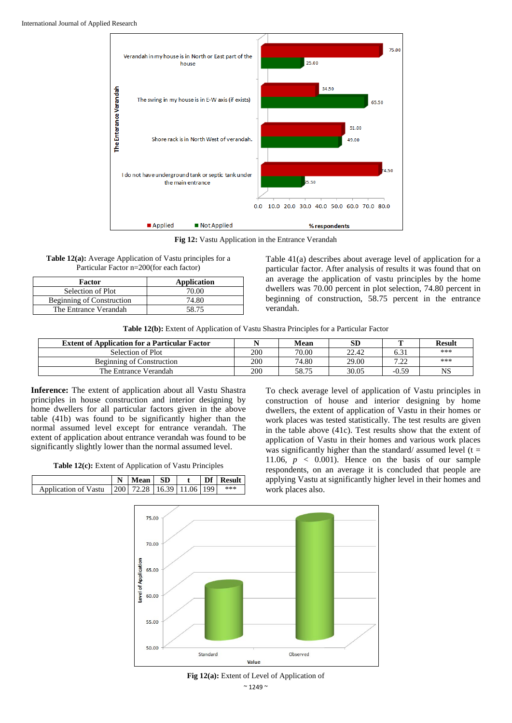

**Fig 12:** Vastu Application in the Entrance Verandah

| <b>Table 12(a):</b> Average Application of Vastu principles for a |
|-------------------------------------------------------------------|
| Particular Factor n=200(for each factor)                          |

| Factor                    | Application |  |  |
|---------------------------|-------------|--|--|
| Selection of Plot         | 70.00       |  |  |
| Beginning of Construction | 74.80       |  |  |
| The Entrance Verandah     | 58 75       |  |  |

Table 41(a) describes about average level of application for a particular factor. After analysis of results it was found that on an average the application of vastu principles by the home dwellers was 70.00 percent in plot selection, 74.80 percent in beginning of construction, 58.75 percent in the entrance verandah.

**Table 12(b):** Extent of Application of Vastu Shastra Principles for a Particular Factor

| <b>Extent of Application for a Particular Factor</b> |     | Mean  | SD    | m         | <b>Result</b> |
|------------------------------------------------------|-----|-------|-------|-----------|---------------|
| Selection of Plot                                    | 200 | 70.00 | 22.42 | 6.31      | ***           |
| Beginning of Construction                            | 200 | 74.80 | 29.00 | 7.22<br>. | ***           |
| The Entrance Verandah                                | 200 | 58.75 | 30.05 | $-0.59$   | NS            |

**Inference:** The extent of application about all Vastu Shastra principles in house construction and interior designing by home dwellers for all particular factors given in the above table (41b) was found to be significantly higher than the normal assumed level except for entrance verandah. The extent of application about entrance verandah was found to be significantly slightly lower than the normal assumed level.

**Table 12(c):** Extent of Application of Vastu Principles **N Mean SD t Df Result** Application of Vastu 200 72.28 16.39 11.06 199

To check average level of application of Vastu principles in construction of house and interior designing by home dwellers, the extent of application of Vastu in their homes or work places was tested statistically. The test results are given in the table above (41c). Test results show that the extent of application of Vastu in their homes and various work places was significantly higher than the standard/ assumed level  $(t =$ 11.06,  $p \leq 0.001$ ). Hence on the basis of our sample respondents, on an average it is concluded that people are applying Vastu at significantly higher level in their homes and work places also.



 $~^{\sim}$  1249  $~^{\sim}$ **Fig 12(a):** Extent of Level of Application of